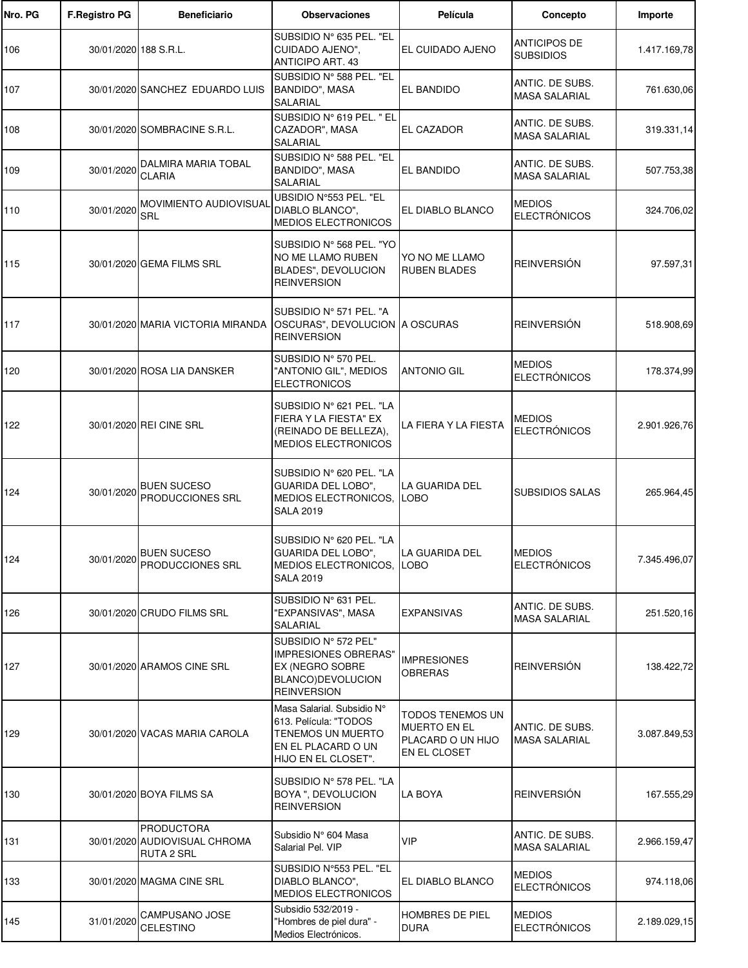| Nro. PG | <b>F.Registro PG</b>  | <b>Beneficiario</b>                                                     | <b>Observaciones</b>                                                                                                         | Película                                                                            | Concepto                                | Importe      |
|---------|-----------------------|-------------------------------------------------------------------------|------------------------------------------------------------------------------------------------------------------------------|-------------------------------------------------------------------------------------|-----------------------------------------|--------------|
| 106     | 30/01/2020 188 S.R.L. |                                                                         | SUBSIDIO Nº 635 PEL. "EL<br>CUIDADO AJENO",<br><b>ANTICIPO ART. 43</b>                                                       | EL CUIDADO AJENO                                                                    | <b>ANTICIPOS DE</b><br><b>SUBSIDIOS</b> | 1.417.169,78 |
| 107     |                       | 30/01/2020 SANCHEZ EDUARDO LUIS                                         | SUBSIDIO Nº 588 PEL. "EL<br>BANDIDO", MASA<br><b>SALARIAL</b>                                                                | EL BANDIDO                                                                          | ANTIC. DE SUBS.<br><b>MASA SALARIAL</b> | 761.630,06   |
| 108     |                       | 30/01/2020 SOMBRACINE S.R.L.                                            | SUBSIDIO Nº 619 PEL. " EL<br>CAZADOR", MASA<br><b>SALARIAL</b>                                                               | EL CAZADOR                                                                          | ANTIC. DE SUBS.<br><b>MASA SALARIAL</b> | 319.331,14   |
| 109     | 30/01/2020            | DALMIRA MARIA TOBAL<br><b>CLARIA</b>                                    | SUBSIDIO Nº 588 PEL. "EL<br>BANDIDO", MASA<br>SALARIAL                                                                       | EL BANDIDO                                                                          | ANTIC. DE SUBS.<br><b>MASA SALARIAL</b> | 507.753,38   |
| 110     | 30/01/2020            | <b>MOVIMIENTO AUDIOVISUAI</b><br>SRL                                    | UBSIDIO N°553 PEL. "EL<br>DIABLO BLANCO",<br>MEDIOS ELECTRONICOS                                                             | EL DIABLO BLANCO                                                                    | <b>MEDIOS</b><br><b>ELECTRÓNICOS</b>    | 324.706,02   |
| 115     |                       | 30/01/2020 GEMA FILMS SRL                                               | SUBSIDIO N° 568 PEL. "YO<br>NO ME LLAMO RUBEN<br>BLADES", DEVOLUCION<br><b>REINVERSION</b>                                   | YO NO ME LLAMO<br><b>RUBEN BLADES</b>                                               | <b>REINVERSIÓN</b>                      | 97.597,31    |
| 117     |                       | 30/01/2020 MARIA VICTORIA MIRANDA                                       | SUBSIDIO Nº 571 PEL. "A<br>OSCURAS", DEVOLUCION A OSCURAS<br><b>REINVERSION</b>                                              |                                                                                     | <b>REINVERSIÓN</b>                      | 518.908,69   |
| 120     |                       | 30/01/2020 ROSA LIA DANSKER                                             | SUBSIDIO Nº 570 PEL.<br>"ANTONIO GIL", MEDIOS<br><b>ELECTRONICOS</b>                                                         | <b>ANTONIO GIL</b>                                                                  | <b>MEDIOS</b><br><b>ELECTRÓNICOS</b>    | 178.374,99   |
| 122     |                       | 30/01/2020 REI CINE SRL                                                 | SUBSIDIO N° 621 PEL. "LA<br>FIERA Y LA FIESTA" EX<br>(REINADO DE BELLEZA),<br>MEDIOS ELECTRONICOS                            | LA FIERA Y LA FIESTA                                                                | <b>MEDIOS</b><br><b>ELECTRÓNICOS</b>    | 2.901.926,76 |
| 124     | 30/01/2020            | <b>BUEN SUCESO</b><br>PRODUCCIONES SRL                                  | SUBSIDIO N° 620 PEL. "LA<br>GUARIDA DEL LOBO",<br>MEDIOS ELECTRONICOS,<br><b>SALA 2019</b>                                   | LA GUARIDA DEL<br>LOBO                                                              | <b>SUBSIDIOS SALAS</b>                  | 265.964,45   |
| 124     |                       | 30/01/2020 BUEN SUCESO<br>PRODUCCIONES SRL                              | SUBSIDIO N° 620 PEL. "LA<br>GUARIDA DEL LOBO",<br>MEDIOS ELECTRONICOS,<br><b>SALA 2019</b>                                   | LA GUARIDA DEL<br>LOBO                                                              | <b>MEDIOS</b><br><b>ELECTRÓNICOS</b>    | 7.345.496,07 |
| 126     |                       | 30/01/2020 CRUDO FILMS SRL                                              | SUBSIDIO N° 631 PEL.<br>"EXPANSIVAS", MASA<br>SALARIAL                                                                       | <b>EXPANSIVAS</b>                                                                   | ANTIC. DE SUBS.<br><b>MASA SALARIAL</b> | 251.520,16   |
| 127     |                       | 30/01/2020 ARAMOS CINE SRL                                              | SUBSIDIO Nº 572 PEL"<br><b>IMPRESIONES OBRERAS</b> "<br>EX (NEGRO SOBRE<br>BLANCO)DEVOLUCION<br><b>REINVERSION</b>           | <b>IMPRESIONES</b><br>OBRERAS                                                       | <b>REINVERSIÓN</b>                      | 138.422,72   |
| 129     |                       | 30/01/2020 VACAS MARIA CAROLA                                           | Masa Salarial. Subsidio N°<br>613. Película: "TODOS<br><b>TENEMOS UN MUERTO</b><br>EN EL PLACARD O UN<br>HIJO EN EL CLOSET". | <b>TODOS TENEMOS UN</b><br><b>MUERTO EN EL</b><br>PLACARD O UN HIJO<br>EN EL CLOSET | ANTIC. DE SUBS.<br><b>MASA SALARIAL</b> | 3.087.849,53 |
| 130     |                       | 30/01/2020 BOYA FILMS SA                                                | SUBSIDIO Nº 578 PEL. "LA<br>BOYA ", DEVOLUCION<br><b>REINVERSION</b>                                                         | <b>LA BOYA</b>                                                                      | <b>REINVERSIÓN</b>                      | 167.555,29   |
| 131     |                       | <b>PRODUCTORA</b><br>30/01/2020 AUDIOVISUAL CHROMA<br><b>RUTA 2 SRL</b> | Subsidio N° 604 Masa<br>Salarial Pel. VIP                                                                                    | <b>VIP</b>                                                                          | ANTIC. DE SUBS.<br><b>MASA SALARIAL</b> | 2.966.159,47 |
| 133     |                       | 30/01/2020 MAGMA CINE SRL                                               | SUBSIDIO Nº553 PEL. "EL<br>DIABLO BLANCO",<br>MEDIOS ELECTRONICOS                                                            | EL DIABLO BLANCO                                                                    | <b>MEDIOS</b><br><b>ELECTRÓNICOS</b>    | 974.118,06   |
| 145     | 31/01/2020            | CAMPUSANO JOSE<br>CELESTINO                                             | Subsidio 532/2019 -<br>"Hombres de piel dura" -<br>Medios Electrónicos.                                                      | HOMBRES DE PIEL<br><b>DURA</b>                                                      | <b>MEDIOS</b><br><b>ELECTRÓNICOS</b>    | 2.189.029,15 |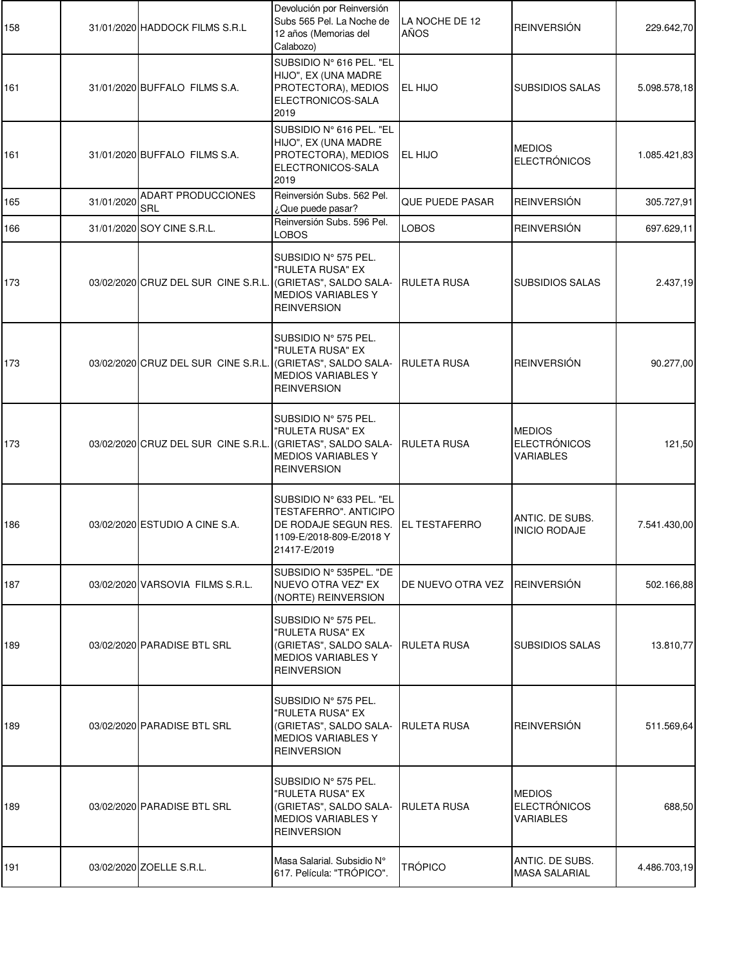| 158 |            | 31/01/2020 HADDOCK FILMS S.R.L      | Devolución por Reinversión<br>Subs 565 Pel. La Noche de<br>12 años (Memorias del<br>Calabozo)                         | LA NOCHE DE 12<br>AÑOS | <b>REINVERSIÓN</b>                                       | 229.642,70   |
|-----|------------|-------------------------------------|-----------------------------------------------------------------------------------------------------------------------|------------------------|----------------------------------------------------------|--------------|
| 161 |            | 31/01/2020 BUFFALO FILMS S.A.       | SUBSIDIO Nº 616 PEL. "EL<br>HIJO", EX (UNA MADRE<br>PROTECTORA), MEDIOS<br>ELECTRONICOS-SALA<br>2019                  | EL HIJO                | <b>SUBSIDIOS SALAS</b>                                   | 5.098.578,18 |
| 161 |            | 31/01/2020 BUFFALO FILMS S.A.       | SUBSIDIO Nº 616 PEL. "EL<br>HIJO", EX (UNA MADRE<br>PROTECTORA), MEDIOS<br>ELECTRONICOS-SALA<br>2019                  | EL HIJO                | <b>MEDIOS</b><br><b>ELECTRÓNICOS</b>                     | 1.085.421,83 |
| 165 | 31/01/2020 | <b>ADART PRODUCCIONES</b><br>SRL    | Reinversión Subs. 562 Pel.<br>¿Que puede pasar?                                                                       | QUE PUEDE PASAR        | <b>REINVERSIÓN</b>                                       | 305.727,91   |
| 166 |            | 31/01/2020 SOY CINE S.R.L.          | Reinversión Subs. 596 Pel.<br><b>LOBOS</b>                                                                            | <b>LOBOS</b>           | <b>REINVERSIÓN</b>                                       | 697.629,11   |
| 173 |            | 03/02/2020 CRUZ DEL SUR CINE S.R.L. | SUBSIDIO Nº 575 PEL.<br>"RULETA RUSA" EX<br>(GRIETAS", SALDO SALA-<br><b>MEDIOS VARIABLES Y</b><br><b>REINVERSION</b> | RULETA RUSA            | <b>SUBSIDIOS SALAS</b>                                   | 2.437,19     |
| 173 |            | 03/02/2020 CRUZ DEL SUR CINE S.R.L. | SUBSIDIO Nº 575 PEL.<br>"RULETA RUSA" EX<br>(GRIETAS", SALDO SALA-<br><b>MEDIOS VARIABLES Y</b><br><b>REINVERSION</b> | <b>RULETA RUSA</b>     | <b>REINVERSIÓN</b>                                       | 90.277,00    |
| 173 |            | 03/02/2020 CRUZ DEL SUR CINE S.R.L. | SUBSIDIO Nº 575 PEL.<br>"RULETA RUSA" EX<br>(GRIETAS", SALDO SALA-<br><b>MEDIOS VARIABLES Y</b><br><b>REINVERSION</b> | RULETA RUSA            | <b>MEDIOS</b><br><b>ELECTRÓNICOS</b><br><b>VARIABLES</b> | 121,50       |
| 186 |            | 03/02/2020 ESTUDIO A CINE S.A.      | SUBSIDIO N° 633 PEL. "EL<br>TESTAFERRO". ANTICIPO<br>DE RODAJE SEGUN RES.<br>1109-E/2018-809-E/2018 Y<br>21417-E/2019 | <b>EL TESTAFERRO</b>   | ANTIC. DE SUBS.<br><b>INICIO RODAJE</b>                  | 7.541.430,00 |
| 187 |            | 03/02/2020 VARSOVIA FILMS S.R.L.    | SUBSIDIO Nº 535PEL. "DE<br>NUEVO OTRA VEZ" EX<br>(NORTE) REINVERSION                                                  | DE NUEVO OTRA VEZ      | <b>REINVERSIÓN</b>                                       | 502.166,88   |
| 189 |            | 03/02/2020 PARADISE BTL SRL         | SUBSIDIO Nº 575 PEL.<br>"RULETA RUSA" EX<br>(GRIETAS", SALDO SALA-<br><b>MEDIOS VARIABLES Y</b><br><b>REINVERSION</b> | RULETA RUSA            | <b>SUBSIDIOS SALAS</b>                                   | 13.810,77    |
| 189 |            | 03/02/2020 PARADISE BTL SRL         | SUBSIDIO Nº 575 PEL.<br>"RULETA RUSA" EX<br>(GRIETAS", SALDO SALA-<br><b>MEDIOS VARIABLES Y</b><br><b>REINVERSION</b> | RULETA RUSA            | <b>REINVERSIÓN</b>                                       | 511.569,64   |
| 189 |            | 03/02/2020 PARADISE BTL SRL         | SUBSIDIO Nº 575 PEL.<br>"RULETA RUSA" EX<br>(GRIETAS", SALDO SALA-<br><b>MEDIOS VARIABLES Y</b><br><b>REINVERSION</b> | RULETA RUSA            | <b>MEDIOS</b><br><b>ELECTRÓNICOS</b><br><b>VARIABLES</b> | 688,50       |
| 191 |            | 03/02/2020 ZOELLE S.R.L.            | Masa Salarial. Subsidio N°<br>617. Película: "TRÓPICO".                                                               | <b>TRÓPICO</b>         | ANTIC. DE SUBS.<br><b>MASA SALARIAL</b>                  | 4.486.703,19 |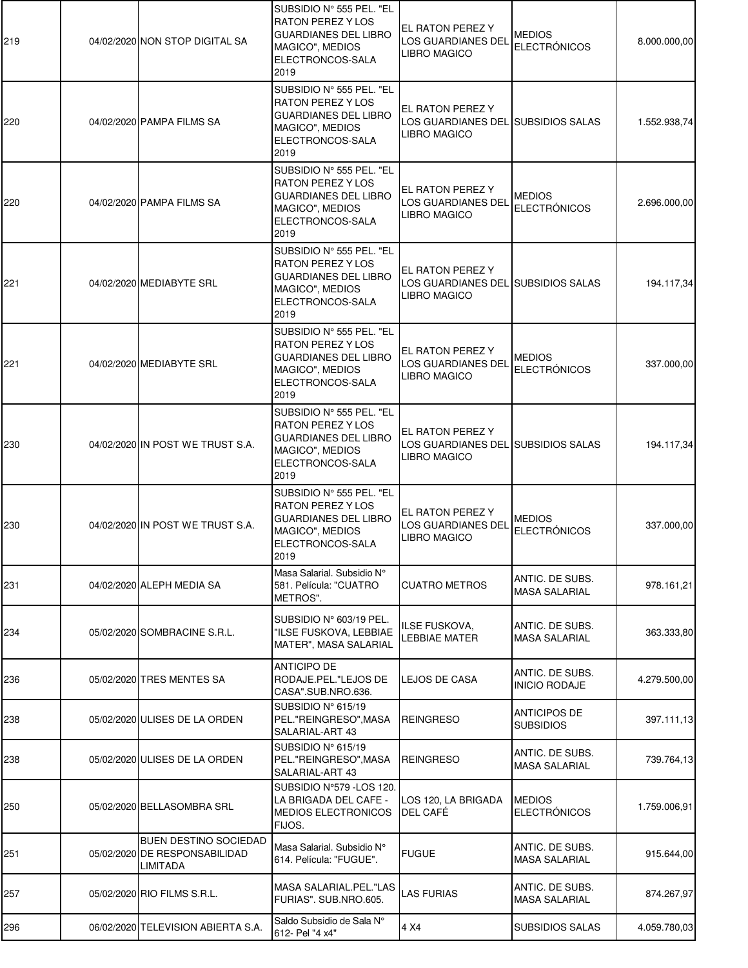| 219 | 04/02/2020 NON STOP DIGITAL SA                                            | SUBSIDIO Nº 555 PEL. "EL<br><b>RATON PEREZ Y LOS</b><br><b>GUARDIANES DEL LIBRO</b><br>MAGICO", MEDIOS<br>ELECTRONCOS-SALA<br>2019 | EL RATON PEREZ Y<br>LOS GUARDIANES DEL<br>LIBRO MAGICO                 | <b>MEDIOS</b><br><b>ELECTRÓNICOS</b>    | 8.000.000,00 |
|-----|---------------------------------------------------------------------------|------------------------------------------------------------------------------------------------------------------------------------|------------------------------------------------------------------------|-----------------------------------------|--------------|
| 220 | 04/02/2020 PAMPA FILMS SA                                                 | SUBSIDIO Nº 555 PEL. "EL<br><b>RATON PEREZ Y LOS</b><br><b>GUARDIANES DEL LIBRO</b><br>MAGICO", MEDIOS<br>ELECTRONCOS-SALA<br>2019 | EL RATON PEREZ Y<br>LOS GUARDIANES DEL SUBSIDIOS SALAS<br>LIBRO MAGICO |                                         | 1.552.938,74 |
| 220 | 04/02/2020 PAMPA FILMS SA                                                 | SUBSIDIO Nº 555 PEL. "EL<br><b>RATON PEREZ Y LOS</b><br><b>GUARDIANES DEL LIBRO</b><br>MAGICO", MEDIOS<br>ELECTRONCOS-SALA<br>2019 | EL RATON PEREZ Y<br>LOS GUARDIANES DEL<br>LIBRO MAGICO                 | <b>MEDIOS</b><br><b>ELECTRÓNICOS</b>    | 2.696.000,00 |
| 221 | 04/02/2020 MEDIABYTE SRL                                                  | SUBSIDIO Nº 555 PEL. "EL<br><b>RATON PEREZ Y LOS</b><br><b>GUARDIANES DEL LIBRO</b><br>MAGICO", MEDIOS<br>ELECTRONCOS-SALA<br>2019 | EL RATON PEREZ Y<br>LOS GUARDIANES DEL SUBSIDIOS SALAS<br>LIBRO MAGICO |                                         | 194.117,34   |
| 221 | 04/02/2020 MEDIABYTE SRL                                                  | SUBSIDIO Nº 555 PEL. "EL<br><b>RATON PEREZ Y LOS</b><br><b>GUARDIANES DEL LIBRO</b><br>MAGICO", MEDIOS<br>ELECTRONCOS-SALA<br>2019 | EL RATON PEREZ Y<br>LOS GUARDIANES DEL<br>LIBRO MAGICO                 | <b>MEDIOS</b><br><b>ELECTRÓNICOS</b>    | 337.000,00   |
| 230 | 04/02/2020 IN POST WE TRUST S.A.                                          | SUBSIDIO Nº 555 PEL. "EL<br><b>RATON PEREZ Y LOS</b><br><b>GUARDIANES DEL LIBRO</b><br>MAGICO", MEDIOS<br>ELECTRONCOS-SALA<br>2019 | EL RATON PEREZ Y<br>LOS GUARDIANES DEL SUBSIDIOS SALAS<br>LIBRO MAGICO |                                         | 194.117,34   |
| 230 | 04/02/2020 IN POST WE TRUST S.A.                                          | SUBSIDIO Nº 555 PEL. "EL<br><b>RATON PEREZ Y LOS</b><br><b>GUARDIANES DEL LIBRO</b><br>MAGICO", MEDIOS<br>ELECTRONCOS-SALA<br>2019 | EL RATON PEREZ Y<br>LOS GUARDIANES DEL<br><b>LIBRO MAGICO</b>          | <b>MEDIOS</b><br><b>ELECTRÓNICOS</b>    | 337.000,00   |
| 231 | 04/02/2020 ALEPH MEDIA SA                                                 | Masa Salarial. Subsidio N°<br>581. Película: "CUATRO<br>METROS".                                                                   | <b>CUATRO METROS</b>                                                   | ANTIC. DE SUBS.<br><b>MASA SALARIAL</b> | 978.161,21   |
| 234 | 05/02/2020 SOMBRACINE S.R.L.                                              | SUBSIDIO Nº 603/19 PEL.<br>"ILSE FUSKOVA, LEBBIAE<br><b>MATER", MASA SALARIAL</b>                                                  | ILSE FUSKOVA,<br>LEBBIAE MATER                                         | ANTIC. DE SUBS.<br><b>MASA SALARIAL</b> | 363.333,80   |
| 236 | 05/02/2020 TRES MENTES SA                                                 | <b>ANTICIPO DE</b><br>RODAJE.PEL."LEJOS DE<br>CASA".SUB.NRO.636.                                                                   | LEJOS DE CASA                                                          | ANTIC. DE SUBS.<br><b>INICIO RODAJE</b> | 4.279.500,00 |
| 238 | 05/02/2020 ULISES DE LA ORDEN                                             | SUBSIDIO N° 615/19<br>PEL."REINGRESO", MASA<br>SALARIAL-ART 43                                                                     | <b>REINGRESO</b>                                                       | <b>ANTICIPOS DE</b><br><b>SUBSIDIOS</b> | 397.111,13   |
| 238 | 05/02/2020 ULISES DE LA ORDEN                                             | SUBSIDIO $N^{\circ}$ 615/19<br>PEL."REINGRESO", MASA<br>SALARIAL-ART 43                                                            | <b>REINGRESO</b>                                                       | ANTIC. DE SUBS.<br><b>MASA SALARIAL</b> | 739.764,13   |
| 250 | 05/02/2020 BELLASOMBRA SRL                                                | SUBSIDIO N°579 - LOS 120.<br>LA BRIGADA DEL CAFE -<br><b>MEDIOS ELECTRONICOS</b><br>FIJOS.                                         | LOS 120, LA BRIGADA<br>DEL CAFÉ                                        | <b>MEDIOS</b><br><b>ELECTRÓNICOS</b>    | 1.759.006,91 |
| 251 | <b>BUEN DESTINO SOCIEDAD</b><br>05/02/2020 DE RESPONSABILIDAD<br>LIMITADA | Masa Salarial. Subsidio N°<br>614. Película: "FUGUE".                                                                              | <b>FUGUE</b>                                                           | ANTIC. DE SUBS.<br><b>MASA SALARIAL</b> | 915.644,00   |
| 257 | 05/02/2020 RIO FILMS S.R.L.                                               | MASA SALARIAL.PEL."LAS<br>FURIAS". SUB.NRO.605.                                                                                    | LAS FURIAS                                                             | ANTIC. DE SUBS.<br><b>MASA SALARIAL</b> | 874.267,97   |
| 296 | 06/02/2020 TELEVISION ABIERTA S.A.                                        | Saldo Subsidio de Sala N°<br>612- Pel "4 x4"                                                                                       | 4 X4                                                                   | <b>SUBSIDIOS SALAS</b>                  | 4.059.780,03 |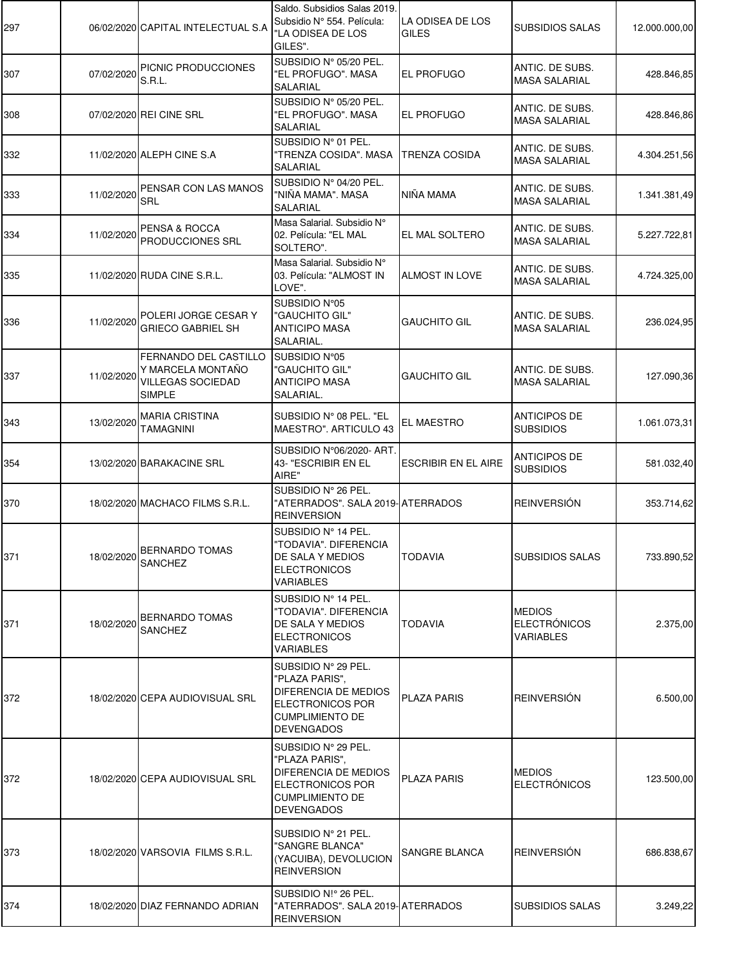| 297 |            | 06/02/2020 CAPITAL INTELECTUAL S.A                                               | Saldo. Subsidios Salas 2019.<br>Subsidio Nº 554. Película:<br>"LA ODISEA DE LOS<br>GILES".                                       | LA ODISEA DE LOS<br>GILES  | <b>SUBSIDIOS SALAS</b>                            | 12.000.000,00 |
|-----|------------|----------------------------------------------------------------------------------|----------------------------------------------------------------------------------------------------------------------------------|----------------------------|---------------------------------------------------|---------------|
| 307 | 07/02/2020 | PICNIC PRODUCCIONES<br>S.R.L.                                                    | SUBSIDIO Nº 05/20 PEL.<br>"EL PROFUGO". MASA<br>SALARIAL                                                                         | <b>EL PROFUGO</b>          | ANTIC. DE SUBS.<br><b>MASA SALARIAL</b>           | 428.846,85    |
| 308 |            | 07/02/2020 REI CINE SRL                                                          | SUBSIDIO Nº 05/20 PEL.<br>"EL PROFUGO". MASA<br>SALARIAL                                                                         | EL PROFUGO                 | ANTIC. DE SUBS.<br><b>MASA SALARIAL</b>           | 428.846,86    |
| 332 |            | 11/02/2020 ALEPH CINE S.A                                                        | SUBSIDIO Nº 01 PEL.<br>"TRENZA COSIDA", MASA<br>SALARIAL                                                                         | <b>TRENZA COSIDA</b>       | ANTIC. DE SUBS.<br><b>MASA SALARIAL</b>           | 4.304.251,56  |
| 333 | 11/02/2020 | PENSAR CON LAS MANOS<br>SRL                                                      | SUBSIDIO Nº 04/20 PEL.<br>"NIÑA MAMA". MASA<br>SALARIAL                                                                          | NIÑA MAMA                  | ANTIC. DE SUBS.<br><b>MASA SALARIAL</b>           | 1.341.381,49  |
| 334 | 11/02/2020 | PENSA & ROCCA<br>PRODUCCIONES SRL                                                | Masa Salarial. Subsidio N°<br>02. Película: "EL MAL<br>SOLTERO".                                                                 | EL MAL SOLTERO             | ANTIC. DE SUBS.<br><b>MASA SALARIAL</b>           | 5.227.722,81  |
| 335 |            | 11/02/2020 RUDA CINE S.R.L.                                                      | Masa Salarial. Subsidio N°<br>03. Película: "ALMOST IN<br>LOVE".                                                                 | ALMOST IN LOVE             | ANTIC. DE SUBS.<br><b>MASA SALARIAL</b>           | 4.724.325,00  |
| 336 | 11/02/2020 | POLERI JORGE CESAR Y<br><b>GRIECO GABRIEL SH</b>                                 | SUBSIDIO N°05<br>"GAUCHITO GIL"<br><b>ANTICIPO MASA</b><br>SALARIAL.                                                             | <b>GAUCHITO GIL</b>        | ANTIC. DE SUBS.<br><b>MASA SALARIAL</b>           | 236.024,95    |
| 337 | 11/02/2020 | FERNANDO DEL CASTILLO<br>Y MARCELA MONTAÑO<br>VILLEGAS SOCIEDAD<br><b>SIMPLE</b> | SUBSIDIO N°05<br>"GAUCHITO GIL"<br><b>ANTICIPO MASA</b><br>SALARIAL.                                                             | <b>GAUCHITO GIL</b>        | ANTIC. DE SUBS.<br><b>MASA SALARIAL</b>           | 127.090,36    |
| 343 | 13/02/2020 | <b>MARIA CRISTINA</b><br>TAMAGNINI                                               | SUBSIDIO N° 08 PEL. "EL<br>MAESTRO". ARTICULO 43                                                                                 | EL MAESTRO                 | <b>ANTICIPOS DE</b><br><b>SUBSIDIOS</b>           | 1.061.073,31  |
| 354 |            | 13/02/2020 BARAKACINE SRL                                                        | SUBSIDIO N°06/2020- ART.<br>43- "ESCRIBIR EN EL<br>AIRE"                                                                         | <b>ESCRIBIR EN EL AIRE</b> | <b>ANTICIPOS DE</b><br><b>SUBSIDIOS</b>           | 581.032,40    |
| 370 |            | 18/02/2020 MACHACO FILMS S.R.L.                                                  | SUBSIDIO Nº 26 PEL.<br>"ATERRADOS". SALA 2019- ATERRADOS<br><b>REINVERSION</b>                                                   |                            | <b>REINVERSIÓN</b>                                | 353.714,62    |
| 371 |            | <b>BERNARDO TOMAS</b><br>18/02/2020 SANCHEZ                                      | SUBSIDIO Nº 14 PEL.<br>"TODAVIA". DIFERENCIA<br>DE SALA Y MEDIOS<br><b>ELECTRONICOS</b><br>VARIABLES                             | <b>TODAVIA</b>             | <b>SUBSIDIOS SALAS</b>                            | 733.890,52    |
| 371 | 18/02/2020 | <b>BERNARDO TOMAS</b><br><b>SANCHEZ</b>                                          | SUBSIDIO Nº 14 PEL.<br>"TODAVIA". DIFERENCIA<br>DE SALA Y MEDIOS<br><b>ELECTRONICOS</b><br>VARIABLES                             | <b>TODAVIA</b>             | <b>MEDIOS</b><br><b>ELECTRÓNICOS</b><br>VARIABLES | 2.375,00      |
| 372 |            | 18/02/2020 CEPA AUDIOVISUAL SRL                                                  | SUBSIDIO Nº 29 PEL.<br>"PLAZA PARIS",<br>DIFERENCIA DE MEDIOS<br>ELECTRONICOS POR<br><b>CUMPLIMIENTO DE</b><br><b>DEVENGADOS</b> | <b>PLAZA PARIS</b>         | <b>REINVERSIÓN</b>                                | 6.500,00      |
| 372 |            | 18/02/2020 CEPA AUDIOVISUAL SRL                                                  | SUBSIDIO Nº 29 PEL.<br>"PLAZA PARIS",<br>DIFERENCIA DE MEDIOS<br>ELECTRONICOS POR<br><b>CUMPLIMIENTO DE</b><br><b>DEVENGADOS</b> | <b>PLAZA PARIS</b>         | <b>MEDIOS</b><br><b>ELECTRÓNICOS</b>              | 123.500,00    |
| 373 |            | 18/02/2020 VARSOVIA FILMS S.R.L.                                                 | SUBSIDIO Nº 21 PEL.<br>"SANGRE BLANCA"<br>(YACUIBA), DEVOLUCION<br><b>REINVERSION</b>                                            | SANGRE BLANCA              | <b>REINVERSIÓN</b>                                | 686.838,67    |
| 374 |            | 18/02/2020 DIAZ FERNANDO ADRIAN                                                  | SUBSIDIO N!º 26 PEL.<br>"ATERRADOS". SALA 2019- ATERRADOS<br><b>REINVERSION</b>                                                  |                            | <b>SUBSIDIOS SALAS</b>                            | 3.249,22      |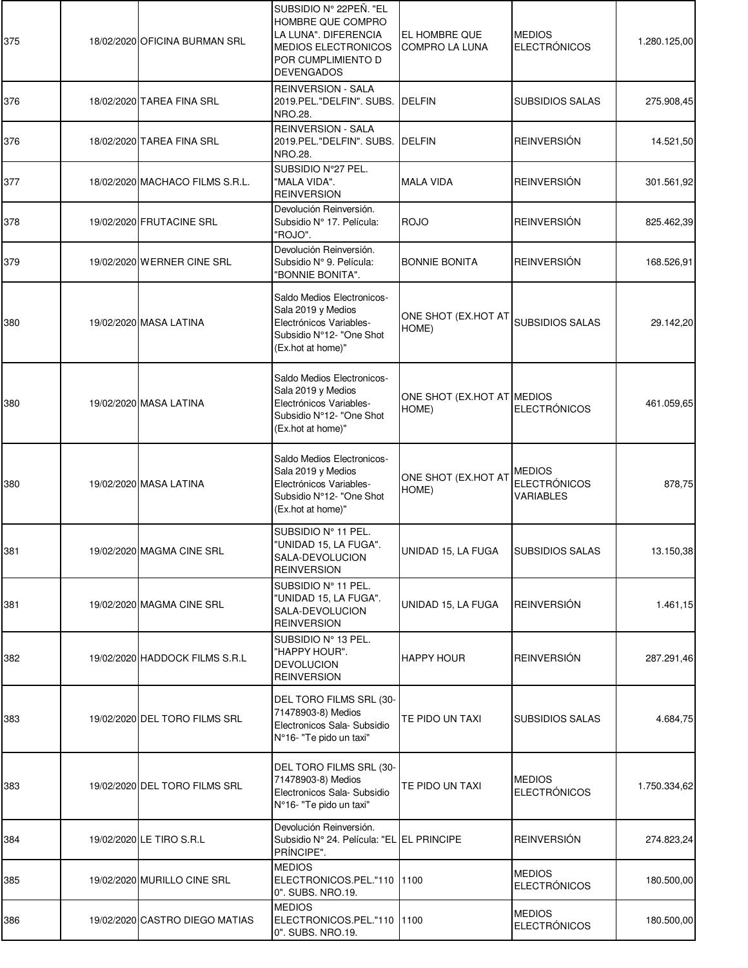| 375 | 18/02/2020 OFICINA BURMAN SRL   | SUBSIDIO N° 22PEÑ. "EL<br>HOMBRE QUE COMPRO<br>LA LUNA". DIFERENCIA<br><b>MEDIOS ELECTRONICOS</b><br>POR CUMPLIMIENTO D<br><b>DEVENGADOS</b> | EL HOMBRE QUE<br><b>COMPRO LA LUNA</b> | <b>MEDIOS</b><br><b>ELECTRÓNICOS</b>              | 1.280.125,00 |
|-----|---------------------------------|----------------------------------------------------------------------------------------------------------------------------------------------|----------------------------------------|---------------------------------------------------|--------------|
| 376 | 18/02/2020 TAREA FINA SRL       | <b>REINVERSION - SALA</b><br>2019.PEL."DELFIN". SUBS.<br><b>NRO.28.</b>                                                                      | <b>DELFIN</b>                          | <b>SUBSIDIOS SALAS</b>                            | 275.908,45   |
| 376 | 18/02/2020 TAREA FINA SRL       | <b>REINVERSION - SALA</b><br>2019.PEL."DELFIN". SUBS.<br>NRO.28.                                                                             | <b>DELFIN</b>                          | <b>REINVERSIÓN</b>                                | 14.521,50    |
| 377 | 18/02/2020 MACHACO FILMS S.R.L. | SUBSIDIO N°27 PEL.<br>"MALA VIDA".<br><b>REINVERSION</b>                                                                                     | <b>MALA VIDA</b>                       | <b>REINVERSIÓN</b>                                | 301.561,92   |
| 378 | 19/02/2020 FRUTACINE SRL        | Devolución Reinversión.<br>Subsidio Nº 17. Película:<br>"ROJO".                                                                              | <b>ROJO</b>                            | <b>REINVERSIÓN</b>                                | 825.462,39   |
| 379 | 19/02/2020 WERNER CINE SRL      | Devolución Reinversión.<br>Subsidio Nº 9. Película:<br>"BONNIE BONITA".                                                                      | <b>BONNIE BONITA</b>                   | <b>REINVERSIÓN</b>                                | 168.526,91   |
| 380 | 19/02/2020 MASA LATINA          | Saldo Medios Electronicos-<br>Sala 2019 y Medios<br>Electrónicos Variables-<br>Subsidio N°12- "One Shot<br>(Ex.hot at home)"                 | ONE SHOT (EX.HOT AT<br>HOME)           | <b>SUBSIDIOS SALAS</b>                            | 29.142,20    |
| 380 | 19/02/2020 MASA LATINA          | Saldo Medios Electronicos-<br>Sala 2019 y Medios<br>Electrónicos Variables-<br>Subsidio N°12- "One Shot<br>(Ex.hot at home)"                 | ONE SHOT (EX.HOT AT MEDIOS<br>HOME)    | <b>ELECTRÓNICOS</b>                               | 461.059,65   |
| 380 | 19/02/2020 MASA LATINA          | Saldo Medios Electronicos-<br>Sala 2019 y Medios<br>Electrónicos Variables-<br>Subsidio N°12- "One Shot<br>(Ex.hot at home)"                 | ONE SHOT (EX.HOT AT<br>HOME)           | <b>MEDIOS</b><br><b>ELECTRÓNICOS</b><br>VARIABLES | 878,75       |
| 381 | 19/02/2020 MAGMA CINE SRL       | SUBSIDIO Nº 11 PEL.<br>"UNIDAD 15, LA FUGA".<br>SALA-DEVOLUCION<br><b>REINVERSION</b>                                                        | UNIDAD 15. LA FUGA                     | <b>SUBSIDIOS SALAS</b>                            | 13.150,38    |
| 381 | 19/02/2020 MAGMA CINE SRL       | SUBSIDIO Nº 11 PEL.<br>"UNIDAD 15, LA FUGA".<br>SALA-DEVOLUCION<br><b>REINVERSION</b>                                                        | UNIDAD 15, LA FUGA                     | <b>REINVERSIÓN</b>                                | 1.461,15     |
| 382 | 19/02/2020 HADDOCK FILMS S.R.L  | SUBSIDIO Nº 13 PEL.<br>"HAPPY HOUR".<br><b>DEVOLUCION</b><br><b>REINVERSION</b>                                                              | <b>HAPPY HOUR</b>                      | <b>REINVERSIÓN</b>                                | 287.291,46   |
| 383 | 19/02/2020 DEL TORO FILMS SRL   | DEL TORO FILMS SRL (30-<br>71478903-8) Medios<br>Electronicos Sala- Subsidio<br>N°16- "Te pido un taxi"                                      | TE PIDO UN TAXI                        | <b>SUBSIDIOS SALAS</b>                            | 4.684,75     |
| 383 | 19/02/2020 DEL TORO FILMS SRL   | DEL TORO FILMS SRL (30-<br>71478903-8) Medios<br>Electronicos Sala- Subsidio<br>N°16- "Te pido un taxi"                                      | TE PIDO UN TAXI                        | <b>MEDIOS</b><br><b>ELECTRÓNICOS</b>              | 1.750.334,62 |
| 384 | 19/02/2020 LE TIRO S.R.L        | Devolución Reinversión.<br>Subsidio Nº 24. Película: "EL EL PRINCIPE<br>PRÍNCIPE".                                                           |                                        | <b>REINVERSIÓN</b>                                | 274.823,24   |
| 385 | 19/02/2020 MURILLO CINE SRL     | <b>MEDIOS</b><br>ELECTRONICOS.PEL."110<br>0". SUBS. NRO.19.                                                                                  | 1100                                   | <b>MEDIOS</b><br><b>ELECTRÓNICOS</b>              | 180.500,00   |
| 386 | 19/02/2020 CASTRO DIEGO MATIAS  | <b>MEDIOS</b><br>ELECTRONICOS.PEL."110<br>0". SUBS. NRO.19.                                                                                  | <b>1100</b>                            | <b>MEDIOS</b><br><b>ELECTRÓNICOS</b>              | 180.500,00   |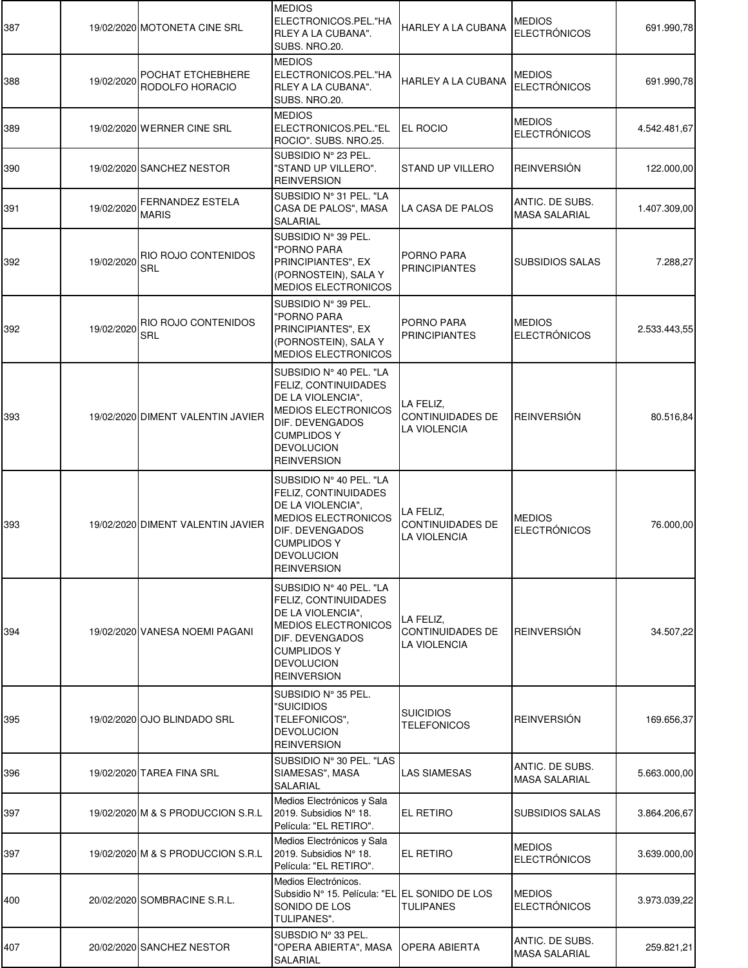| 387 |            | 19/02/2020 MOTONETA CINE SRL                 | <b>MEDIOS</b><br>ELECTRONICOS.PEL."HA<br>RLEY A LA CUBANA".<br>SUBS. NRO.20.                                                                                                                         | HARLEY A LA CUBANA                                   | <b>MEDIOS</b><br><b>ELECTRÓNICOS</b>    | 691.990,78   |
|-----|------------|----------------------------------------------|------------------------------------------------------------------------------------------------------------------------------------------------------------------------------------------------------|------------------------------------------------------|-----------------------------------------|--------------|
| 388 | 19/02/2020 | POCHAT ETCHEBHERE<br><b>RODOLFO HORACIO</b>  | <b>MEDIOS</b><br>ELECTRONICOS.PEL."HA<br>RLEY A LA CUBANA".<br>SUBS. NRO.20.                                                                                                                         | <b>HARLEY A LA CUBANA</b>                            | <b>MEDIOS</b><br><b>ELECTRÓNICOS</b>    | 691.990,78   |
| 389 |            | 19/02/2020 WERNER CINE SRL                   | <b>MEDIOS</b><br>ELECTRONICOS.PEL."EL<br>ROCIO". SUBS. NRO.25.                                                                                                                                       | EL ROCIO                                             | <b>MEDIOS</b><br><b>ELECTRÓNICOS</b>    | 4.542.481,67 |
| 390 |            | 19/02/2020 SANCHEZ NESTOR                    | SUBSIDIO Nº 23 PEL.<br>"STAND UP VILLERO".<br><b>REINVERSION</b>                                                                                                                                     | <b>STAND UP VILLERO</b>                              | <b>REINVERSIÓN</b>                      | 122.000,00   |
| 391 | 19/02/2020 | <b>FERNANDEZ ESTELA</b><br><b>MARIS</b>      | SUBSIDIO Nº 31 PEL. "LA<br>CASA DE PALOS", MASA<br>SALARIAL                                                                                                                                          | LA CASA DE PALOS                                     | ANTIC. DE SUBS.<br><b>MASA SALARIAL</b> | 1.407.309,00 |
| 392 |            | 19/02/2020 RIO ROJO CONTENIDOS<br><b>SRL</b> | SUBSIDIO Nº 39 PEL.<br>"PORNO PARA<br>PRINCIPIANTES", EX<br>(PORNOSTEIN), SALA Y<br><b>MEDIOS ELECTRONICOS</b>                                                                                       | PORNO PARA<br><b>PRINCIPIANTES</b>                   | <b>SUBSIDIOS SALAS</b>                  | 7.288,27     |
| 392 |            | 19/02/2020 RIO ROJO CONTENIDOS<br><b>SRL</b> | SUBSIDIO Nº 39 PEL.<br>"PORNO PARA<br>PRINCIPIANTES", EX<br>(PORNOSTEIN), SALA Y<br><b>MEDIOS ELECTRONICOS</b>                                                                                       | PORNO PARA<br><b>PRINCIPIANTES</b>                   | <b>MEDIOS</b><br><b>ELECTRÓNICOS</b>    | 2.533.443,55 |
| 393 |            | 19/02/2020 DIMENT VALENTIN JAVIER            | SUBSIDIO Nº 40 PEL. "LA<br>FELIZ, CONTINUIDADES<br>DE LA VIOLENCIA",<br><b>MEDIOS ELECTRONICOS</b><br><b>DIF. DEVENGADOS</b><br><b>CUMPLIDOS Y</b><br><b>DEVOLUCION</b><br><b>REINVERSION</b>        | LA FELIZ.<br><b>CONTINUIDADES DE</b><br>LA VIOLENCIA | <b>REINVERSIÓN</b>                      | 80.516,84    |
| 393 |            | 19/02/2020 DIMENT VALENTIN JAVIER            | SUBSIDIO N° 40 PEL. "LA<br>FELIZ, CONTINUIDADES<br>DE LA VIOLENCIA",<br><b>MEDIOS ELECTRONICOS</b><br>DIF. DEVENGADOS<br><b>CUMPLIDOS Y</b><br><b>DEVOLUCION</b><br><b>REINVERSION</b>               | LA FELIZ.<br><b>CONTINUIDADES DE</b><br>LA VIOLENCIA | <b>MEDIOS</b><br><b>ELECTRÓNICOS</b>    | 76.000,00    |
| 394 |            | 19/02/2020 VANESA NOEMI PAGANI               | SUBSIDIO Nº 40 PEL. "LA<br><b>FELIZ, CONTINUIDADES</b><br>DE LA VIOLENCIA",<br><b>MEDIOS ELECTRONICOS</b><br><b>DIF. DEVENGADOS</b><br><b>CUMPLIDOS Y</b><br><b>DEVOLUCION</b><br><b>REINVERSION</b> | LA FELIZ.<br><b>CONTINUIDADES DE</b><br>LA VIOLENCIA | <b>REINVERSIÓN</b>                      | 34.507,22    |
| 395 |            | 19/02/2020 OJO BLINDADO SRL                  | SUBSIDIO Nº 35 PEL.<br>"SUICIDIOS<br>TELEFONICOS",<br><b>DEVOLUCION</b><br><b>REINVERSION</b>                                                                                                        | <b>SUICIDIOS</b><br><b>TELEFONICOS</b>               | <b>REINVERSIÓN</b>                      | 169.656,37   |
| 396 |            | 19/02/2020 TAREA FINA SRL                    | SUBSIDIO Nº 30 PEL. "LAS<br>SIAMESAS", MASA<br>SALARIAL                                                                                                                                              | LAS SIAMESAS                                         | ANTIC. DE SUBS.<br><b>MASA SALARIAL</b> | 5.663.000,00 |
| 397 |            | 19/02/2020 M & S PRODUCCION S.R.L            | Medios Electrónicos y Sala<br>2019. Subsidios N° 18.<br>Película: "EL RETIRO".                                                                                                                       | <b>EL RETIRO</b>                                     | <b>SUBSIDIOS SALAS</b>                  | 3.864.206,67 |
| 397 |            | 19/02/2020 M & S PRODUCCION S.R.L            | Medios Electrónicos y Sala<br>2019. Subsidios N° 18.<br>Película: "EL RETIRO".                                                                                                                       | EL RETIRO                                            | <b>MEDIOS</b><br><b>ELECTRÓNICOS</b>    | 3.639.000,00 |
| 400 |            | 20/02/2020 SOMBRACINE S.R.L.                 | Medios Electrónicos.<br>Subsidio Nº 15. Película: "EL EL SONIDO DE LOS<br>SONIDO DE LOS<br>TULIPANES".                                                                                               | <b>TULIPANES</b>                                     | <b>MEDIOS</b><br><b>ELECTRÓNICOS</b>    | 3.973.039,22 |
| 407 |            | 20/02/2020 SANCHEZ NESTOR                    | SUBSDIO Nº 33 PEL.<br>"OPERA ABIERTA", MASA<br>SALARIAL                                                                                                                                              | <b>OPERA ABIERTA</b>                                 | ANTIC. DE SUBS.<br><b>MASA SALARIAL</b> | 259.821,21   |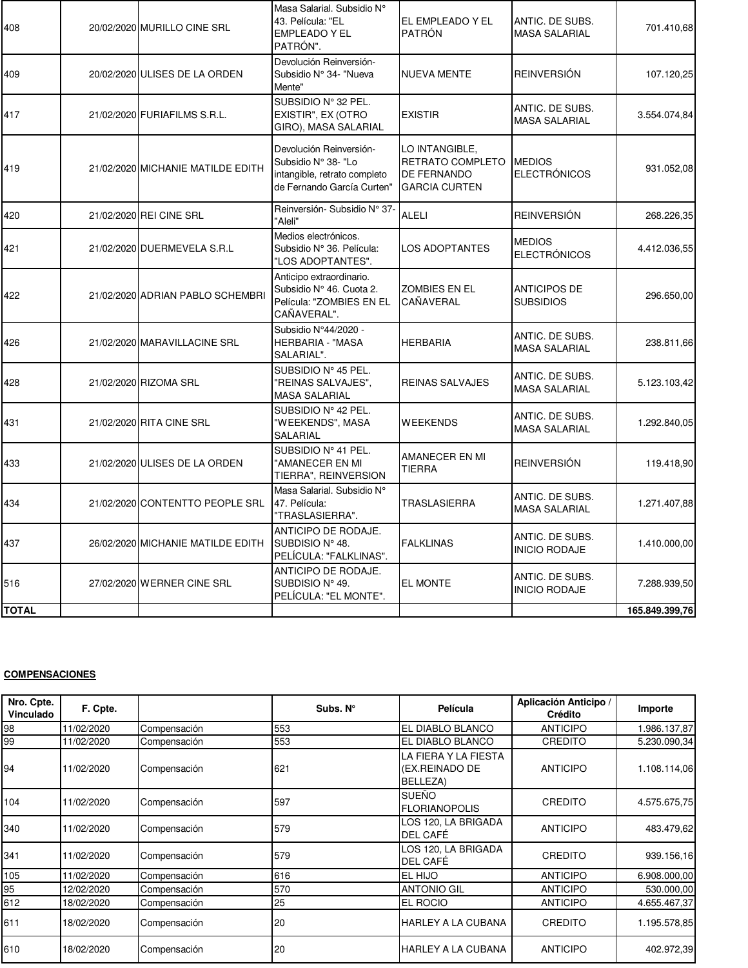| 408          | 20/02/2020 MURILLO CINE SRL       | Masa Salarial. Subsidio N°<br>43. Película: "EL<br><b>EMPLEADO Y EL</b><br>PATRÓN".                          | EL EMPLEADO Y EL<br><b>PATRÓN</b>                                         | ANTIC. DE SUBS.<br><b>MASA SALARIAL</b> | 701.410,68     |
|--------------|-----------------------------------|--------------------------------------------------------------------------------------------------------------|---------------------------------------------------------------------------|-----------------------------------------|----------------|
| 409          | 20/02/2020 ULISES DE LA ORDEN     | Devolución Reinversión-<br>Subsidio N° 34- "Nueva<br>Mente"                                                  | <b>NUEVA MENTE</b>                                                        | <b>REINVERSIÓN</b>                      | 107.120,25     |
| 417          | 21/02/2020 FURIAFILMS S.R.L.      | SUBSIDIO Nº 32 PEL.<br>EXISTIR", EX (OTRO<br>GIRO), MASA SALARIAL                                            | <b>EXISTIR</b>                                                            | ANTIC. DE SUBS.<br><b>MASA SALARIAL</b> | 3.554.074,84   |
| 419          | 21/02/2020 MICHANIE MATILDE EDITH | Devolución Reinversión-<br>Subsidio N° 38- "Lo<br>intangible, retrato completo<br>de Fernando García Curten" | LO INTANGIBLE,<br>RETRATO COMPLETO<br>DE FERNANDO<br><b>GARCIA CURTEN</b> | <b>MEDIOS</b><br><b>ELECTRÓNICOS</b>    | 931.052,08     |
| 420          | 21/02/2020 REI CINE SRL           | Reinversión- Subsidio N° 37-<br>"Aleli"                                                                      | <b>ALELI</b>                                                              | <b>REINVERSIÓN</b>                      | 268.226,35     |
| 421          | 21/02/2020 DUERMEVELA S.R.L       | Medios electrónicos.<br>Subsidio Nº 36. Película:<br>"LOS ADOPTANTES".                                       | <b>LOS ADOPTANTES</b>                                                     | <b>MEDIOS</b><br><b>ELECTRÓNICOS</b>    | 4.412.036,55   |
| 422          | 21/02/2020 ADRIAN PABLO SCHEMBRI  | Anticipo extraordinario.<br>Subsidio Nº 46. Cuota 2.<br>Película: "ZOMBIES EN EL<br>CAÑAVERAL".              | <b>ZOMBIES EN EL</b><br>CAÑAVERAL                                         | <b>ANTICIPOS DE</b><br><b>SUBSIDIOS</b> | 296.650,00     |
| 426          | 21/02/2020 MARAVILLACINE SRL      | Subsidio N°44/2020 -<br><b>HERBARIA - "MASA</b><br>SALARIAL".                                                | <b>HERBARIA</b>                                                           | ANTIC. DE SUBS.<br><b>MASA SALARIAL</b> | 238.811,66     |
| 428          | 21/02/2020 RIZOMA SRL             | SUBSIDIO Nº 45 PEL.<br>"REINAS SALVAJES",<br>MASA SALARIAL                                                   | <b>REINAS SALVAJES</b>                                                    | ANTIC. DE SUBS.<br><b>MASA SALARIAL</b> | 5.123.103,42   |
| 431          | 21/02/2020 RITA CINE SRL          | SUBSIDIO Nº 42 PEL.<br>"WEEKENDS", MASA<br>SALARIAL                                                          | <b>WEEKENDS</b>                                                           | ANTIC. DE SUBS.<br><b>MASA SALARIAL</b> | 1.292.840,05   |
| 433          | 21/02/2020 ULISES DE LA ORDEN     | SUBSIDIO Nº 41 PEL.<br>"AMANECER EN MI<br>TIERRA", REINVERSION                                               | AMANECER EN MI<br><b>TIERRA</b>                                           | <b>REINVERSIÓN</b>                      | 119.418,90     |
| 434          | 21/02/2020 CONTENTTO PEOPLE SRL   | Masa Salarial. Subsidio N°<br>47. Película:<br>"TRASLASIERRA".                                               | <b>TRASLASIERRA</b>                                                       | ANTIC. DE SUBS.<br><b>MASA SALARIAL</b> | 1.271.407,88   |
| 437          | 26/02/2020 MICHANIE MATILDE EDITH | ANTICIPO DE RODAJE.<br>SUBDISIO Nº 48.<br>PELÍCULA: "FALKLINAS".                                             | <b>FALKLINAS</b>                                                          | ANTIC. DE SUBS.<br><b>INICIO RODAJE</b> | 1.410.000,00   |
| 516          | 27/02/2020 WERNER CINE SRL        | ANTICIPO DE RODAJE.<br>SUBDISIO N° 49.<br>PELÍCULA: "EL MONTE".                                              | EL MONTE                                                                  | ANTIC. DE SUBS.<br><b>INICIO RODAJE</b> | 7.288.939,50   |
| <b>TOTAL</b> |                                   |                                                                                                              |                                                                           |                                         | 165.849.399,76 |

## **COMPENSACIONES**

| Nro. Cpte.<br>Vinculado | F. Cpte.   |              | Subs. N° | Película                                           | Aplicación Anticipo /<br><b>Crédito</b> | Importe      |
|-------------------------|------------|--------------|----------|----------------------------------------------------|-----------------------------------------|--------------|
| 98                      | 11/02/2020 | Compensación | 553      | EL DIABLO BLANCO                                   | <b>ANTICIPO</b>                         | .986.137,87  |
| 99                      | 11/02/2020 | Compensación | 553      | EL DIABLO BLANCO                                   | CREDITO                                 | 5.230.090,34 |
| 94                      | 11/02/2020 | Compensación | 621      | LA FIERA Y LA FIESTA<br>(EX.REINADO DE<br>BELLEZA) | <b>ANTICIPO</b>                         | 1.108.114,06 |
| 104                     | 11/02/2020 | Compensación | 597      | SUEÑO<br><b>FLORIANOPOLIS</b>                      | CREDITO                                 | 4.575.675,75 |
| 340                     | 11/02/2020 | Compensación | 579      | LOS 120, LA BRIGADA<br>DEL CAFÉ                    | <b>ANTICIPO</b>                         | 483.479,62   |
| 341                     | 11/02/2020 | Compensación | 579      | LOS 120. LA BRIGADA<br>DEL CAFÉ                    | CREDITO                                 | 939.156,16   |
| 105                     | 11/02/2020 | Compensación | 616      | EL HIJO                                            | <b>ANTICIPO</b>                         | 6.908.000,00 |
| 95                      | 12/02/2020 | Compensación | 570      | <b>ANTONIO GIL</b>                                 | <b>ANTICIPO</b>                         | 530.000,00   |
| 612                     | 18/02/2020 | Compensación | 25       | EL ROCIO                                           | <b>ANTICIPO</b>                         | 4.655.467,37 |
| 611                     | 18/02/2020 | Compensación | 20       | <b>HARLEY A LA CUBANA</b>                          | CREDITO                                 | 1.195.578.85 |
| 610                     | 18/02/2020 | Compensación | 20       | <b>HARLEY A LA CUBANA</b>                          | <b>ANTICIPO</b>                         | 402.972,39   |